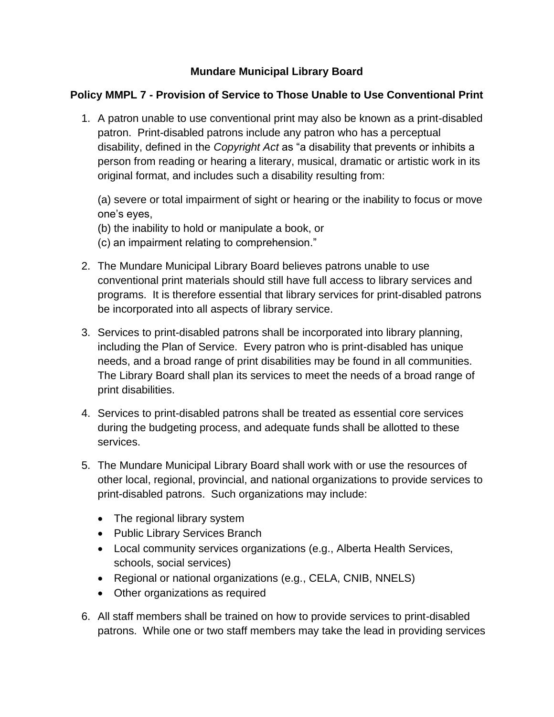## **Mundare Municipal Library Board**

## **Policy MMPL 7 - Provision of Service to Those Unable to Use Conventional Print**

1. A patron unable to use conventional print may also be known as a print-disabled patron. Print-disabled patrons include any patron who has a perceptual disability, defined in the *Copyright Act* as "a disability that prevents or inhibits a person from reading or hearing a literary, musical, dramatic or artistic work in its original format, and includes such a disability resulting from:

(a) severe or total impairment of sight or hearing or the inability to focus or move one's eyes,

(b) the inability to hold or manipulate a book, or

(c) an impairment relating to comprehension."

- 2. The Mundare Municipal Library Board believes patrons unable to use conventional print materials should still have full access to library services and programs. It is therefore essential that library services for print-disabled patrons be incorporated into all aspects of library service.
- 3. Services to print-disabled patrons shall be incorporated into library planning, including the Plan of Service. Every patron who is print-disabled has unique needs, and a broad range of print disabilities may be found in all communities. The Library Board shall plan its services to meet the needs of a broad range of print disabilities.
- 4. Services to print-disabled patrons shall be treated as essential core services during the budgeting process, and adequate funds shall be allotted to these services.
- 5. The Mundare Municipal Library Board shall work with or use the resources of other local, regional, provincial, and national organizations to provide services to print-disabled patrons. Such organizations may include:
	- The regional library system
	- Public Library Services Branch
	- Local community services organizations (e.g., Alberta Health Services, schools, social services)
	- Regional or national organizations (e.g., CELA, CNIB, NNELS)
	- Other organizations as required
- 6. All staff members shall be trained on how to provide services to print-disabled patrons. While one or two staff members may take the lead in providing services